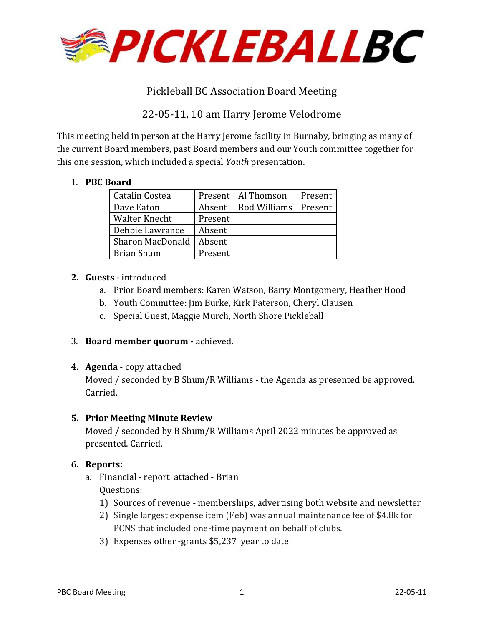

# Pickleball BC Association Board Meeting

# 22-05-11, 10 am Harry Jerome Velodrome

This meeting held in person at the Harry Jerome facility in Burnaby, bringing as many of the current Board members, past Board members and our Youth committee together for this one session, which included a special *Youth* presentation.

## 1. **PBC Board**

| Catalin Costea       |         | Present   Al Thomson | Present |
|----------------------|---------|----------------------|---------|
| Dave Eaton           | Absent  | Rod Williams         | Present |
| <b>Walter Knecht</b> | Present |                      |         |
| Debbie Lawrance      | Absent  |                      |         |
| Sharon MacDonald     | Absent  |                      |         |
| Brian Shum           | Present |                      |         |

### **2. Guests -** introduced

- a. Prior Board members: Karen Watson, Barry Montgomery, Heather Hood
- b. Youth Committee: Jim Burke, Kirk Paterson, Cheryl Clausen
- c. Special Guest, Maggie Murch, North Shore Pickleball
- 3. **Board member quorum** achieved.
- **4. Agenda**  copy attached

Moved / seconded by B Shum/R Williams - the Agenda as presented be approved. Carried.

## **5. Prior Meeting Minute Review**

Moved / seconded by B Shum/R Williams April 2022 minutes be approved as presented. Carried.

### **6. Reports:**

- a. Financial report attached Brian Questions:
	- 1) Sources of revenue memberships, advertising both website and newsletter
	- 2) Single largest expense item (Feb) was annual maintenance fee of \$4.8k for PCNS that included one-time payment on behalf of clubs.
	- 3) Expenses other -grants \$5,237 year to date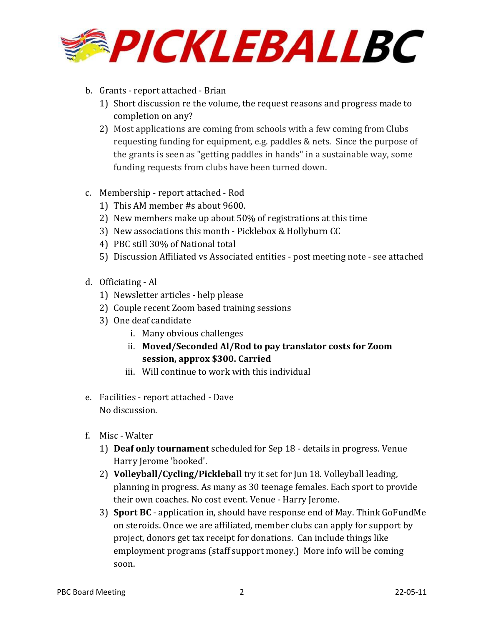

- b. Grants report attached Brian
	- 1) Short discussion re the volume, the request reasons and progress made to completion on any?
	- 2) Most applications are coming from schools with a few coming from Clubs requesting funding for equipment, e.g. paddles & nets. Since the purpose of the grants is seen as "getting paddles in hands" in a sustainable way, some funding requests from clubs have been turned down.
- c. Membership report attached Rod
	- 1) This AM member #s about 9600.
	- 2) New members make up about 50% of registrations at this time
	- 3) New associations this month Picklebox & Hollyburn CC
	- 4) PBC still 30% of National total
	- 5) Discussion Affiliated vs Associated entities post meeting note see attached
- d. Officiating Al
	- 1) Newsletter articles help please
	- 2) Couple recent Zoom based training sessions
	- 3) One deaf candidate
		- i. Many obvious challenges
		- ii. **Moved/Seconded Al/Rod to pay translator costs for Zoom session, approx \$300. Carried**
		- iii. Will continue to work with this individual
- e. Facilities report attached Dave No discussion.
- f. Misc Walter
	- 1) **Deaf only tournament** scheduled for Sep 18 details in progress. Venue Harry Jerome 'booked'.
	- 2) **Volleyball/Cycling/Pickleball** try it set for Jun 18. Volleyball leading, planning in progress. As many as 30 teenage females. Each sport to provide their own coaches. No cost event. Venue - Harry Jerome.
	- 3) **Sport BC** application in, should have response end of May. Think GoFundMe on steroids. Once we are affiliated, member clubs can apply for support by project, donors get tax receipt for donations. Can include things like employment programs (staff support money.) More info will be coming soon.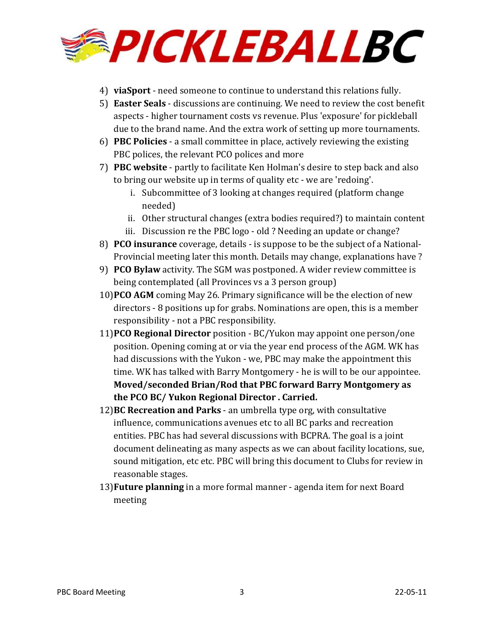

- 4) **viaSport** need someone to continue to understand this relations fully.
- 5) **Easter Seals** discussions are continuing. We need to review the cost benefit aspects - higher tournament costs vs revenue. Plus 'exposure' for pickleball due to the brand name. And the extra work of setting up more tournaments.
- 6) **PBC Policies** a small committee in place, actively reviewing the existing PBC polices, the relevant PCO polices and more
- 7) **PBC website** partly to facilitate Ken Holman's desire to step back and also to bring our website up in terms of quality etc - we are 'redoing'.
	- i. Subcommittee of 3 looking at changes required (platform change needed)
	- ii. Other structural changes (extra bodies required?) to maintain content
	- iii. Discussion re the PBC logo old ? Needing an update or change?
- 8) **PCO insurance** coverage, details is suppose to be the subject of a National-Provincial meeting later this month. Details may change, explanations have ?
- 9) **PCO Bylaw** activity. The SGM was postponed. A wider review committee is being contemplated (all Provinces vs a 3 person group)
- 10)**PCO AGM** coming May 26. Primary significance will be the election of new directors - 8 positions up for grabs. Nominations are open, this is a member responsibility - not a PBC responsibility.
- 11)**PCO Regional Director** position BC/Yukon may appoint one person/one position. Opening coming at or via the year end process of the AGM. WK has had discussions with the Yukon - we, PBC may make the appointment this time. WK has talked with Barry Montgomery - he is will to be our appointee. **Moved/seconded Brian/Rod that PBC forward Barry Montgomery as the PCO BC/ Yukon Regional Director . Carried.**
- 12)**BC Recreation and Parks** an umbrella type org, with consultative influence, communications avenues etc to all BC parks and recreation entities. PBC has had several discussions with BCPRA. The goal is a joint document delineating as many aspects as we can about facility locations, sue, sound mitigation, etc etc. PBC will bring this document to Clubs for review in reasonable stages.
- 13)**Future planning** in a more formal manner agenda item for next Board meeting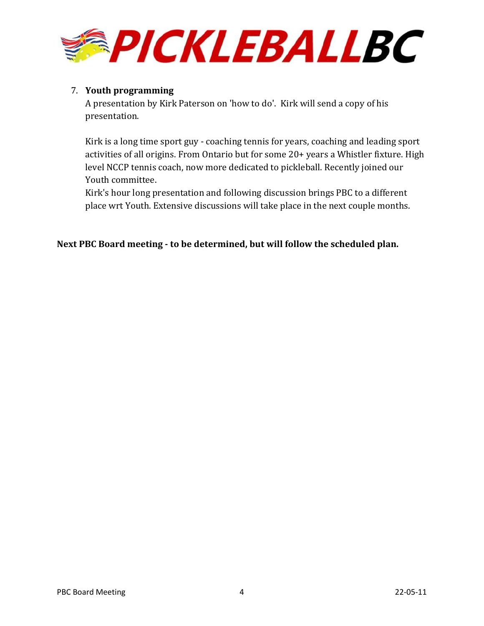

### 7. **Youth programming**

A presentation by Kirk Paterson on 'how to do'. Kirk will send a copy of his presentation.

Kirk is a long time sport guy - coaching tennis for years, coaching and leading sport activities of all origins. From Ontario but for some 20+ years a Whistler fixture. High level NCCP tennis coach, now more dedicated to pickleball. Recently joined our Youth committee.

Kirk's hour long presentation and following discussion brings PBC to a different place wrt Youth. Extensive discussions will take place in the next couple months.

**Next PBC Board meeting - to be determined, but will follow the scheduled plan.**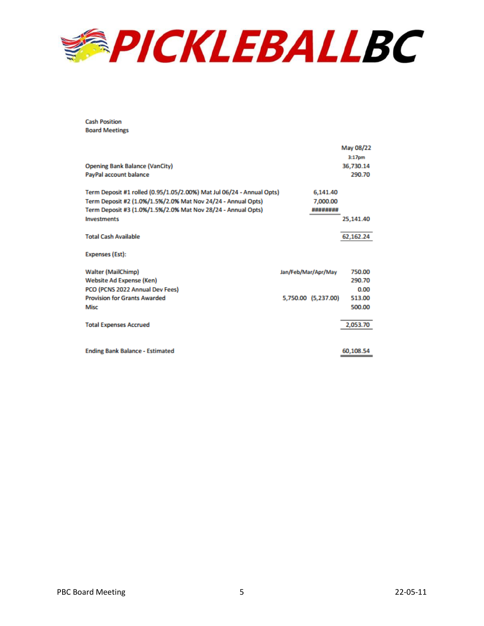

**Cash Position Board Meetings** 

| <b>Opening Bank Balance (VanCity)</b><br>PayPal account balance       |                     | May 08/22<br>3:17 <sub>pm</sub><br>36.730.14<br>290.70 |
|-----------------------------------------------------------------------|---------------------|--------------------------------------------------------|
| Term Deposit #1 rolled (0.95/1.05/2.00%) Mat Jul 06/24 - Annual Opts) | 6,141.40            |                                                        |
| Term Deposit #2 (1.0%/1.5%/2.0% Mat Nov 24/24 - Annual Opts)          | 7,000.00            |                                                        |
| Term Deposit #3 (1.0%/1.5%/2.0% Mat Nov 28/24 - Annual Opts)          | ########            |                                                        |
| <b>Investments</b>                                                    |                     | 25,141.40                                              |
| <b>Total Cash Available</b>                                           |                     | 62.162.24                                              |
| Expenses (Est):                                                       |                     |                                                        |
| <b>Walter (MailChimp)</b>                                             | Jan/Feb/Mar/Apr/May | 750.00                                                 |
| Website Ad Expense (Ken)                                              |                     | 290.70                                                 |
| PCO (PCNS 2022 Annual Dev Fees)                                       |                     | 0.00                                                   |
| <b>Provision for Grants Awarded</b>                                   | 5,750.00 (5,237.00) | 513.00                                                 |
| Misc                                                                  |                     | 500.00                                                 |
|                                                                       |                     |                                                        |
| <b>Total Expenses Accrued</b>                                         |                     | 2,053.70                                               |
|                                                                       |                     |                                                        |
| <b>Ending Bank Balance - Estimated</b>                                |                     | 60,108.54                                              |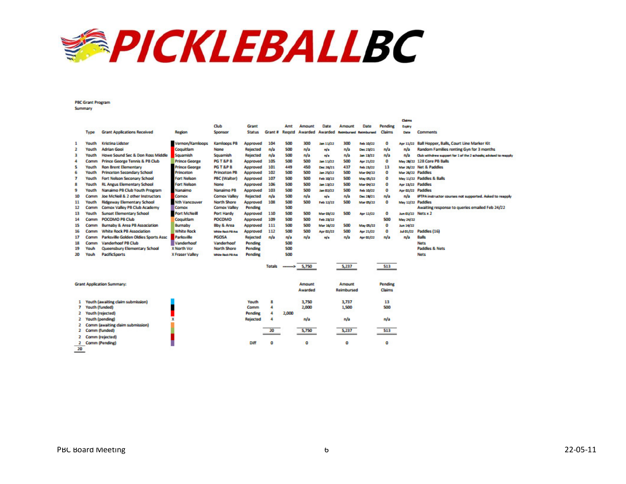

**PBC Grant Program** Summary

|                                    |                                          |                        |                       |                 |         |           |         |           |                              |                  |               | <b>Lisms</b>      |                                                                  |
|------------------------------------|------------------------------------------|------------------------|-----------------------|-----------------|---------|-----------|---------|-----------|------------------------------|------------------|---------------|-------------------|------------------------------------------------------------------|
|                                    |                                          |                        | Club                  | Grant           |         | Amt       | Amount  | Date      | Amount                       | Date             | Pending       | Expiry            |                                                                  |
| Type                               | <b>Grant Applications Received</b>       | Region                 | Sponsor               | <b>Status</b>   | Grant # | Reastd    | Awarded | Awarded   | <b>Reimbursed Reimbursed</b> |                  | <b>Claims</b> | Date              | <b>Comments</b>                                                  |
| 1<br>Youth                         | <b>Kristina Lidster</b>                  | /ernon/Kamlooos        | <b>Kamlooos PB</b>    | Approved        | 104     | 500       | 300     | Jan 11/22 | 300                          | Feb 10/22        | o             | Apr 11/22         | <b>Ball Hopper, Balls, Court Line Marker Kit</b>                 |
| <b>Adrian Gooi</b><br>2<br>Youth   |                                          | Coquitlam              | None                  | <b>Rejected</b> | n/a     | 500       | n/a     | n/a       | n/a                          | Dec 23/21        | n/a           | n/a               | Random Families renting Gyn for 3 months                         |
| з<br>Youth                         | Howe Sound Sec & Don Ross Middle         | Squamish               | Squamish              | Rejected        | n/a     | 500       | n/a     | n/a       | n/a                          | lan 11/22        | n/a           | n/a               | Club withdrew support for 1 of the 2 schools; advised to respoly |
| Comm                               | Prince George Tennis & PB Club           | <b>Prince George</b>   | <b>PG T &amp;P B</b>  | Approved        | 105     | 500       | 500     | Jan 11/22 | 500                          | Apr 21/22        | o             |                   | May 28/22 128 Core PB Balls                                      |
| 5<br>Youth                         | <b>Ron Brent Elementary</b>              | <b>Prince George</b>   | <b>PG T &amp;P B</b>  | Approved        | 101     | 449       | 450     | Dec 26/21 | 437                          | Feb 23/22        | 13            |                   | Mar 26/22 Net & Paddles                                          |
| 6<br>Youth                         | <b>Princeton Secondary School</b>        | Princeton              | <b>Princeton PB</b>   | Approved        | 102     | 500       | 500     | Jan 25/22 | 500                          | <b>Mar 04/22</b> | o             | Mar 26/22 Paddles |                                                                  |
| 7<br>Youth                         | Fort Nelson Seconary School              | Fort Nelson            | <b>PBC (Walter)</b>   | Approved        | 107     | 500       | 500     | Feb 10/22 | 500                          | <b>May 05/22</b> | o             |                   | May 11/22 Paddles & Balls                                        |
| 8<br>Youth                         | <b>RL Angus Elementary School</b>        | <b>Fort Nelson</b>     | <b>None</b>           | Approved        | 106     | 500       | 500     | Jan 11/22 | 500                          | <b>Mar 04/22</b> | o             | Apr 13/22 Paddles |                                                                  |
| 9<br>Youth                         | Nanaimo PB Club Youth Program            | Nanaimo                | Nanaimo PB            | Approved        | 103     | 500       | 500     | Jan 02/22 | 500                          | Feb 10/22        | ۰             | Apr 02/22 Paddles |                                                                  |
| 10<br>Comm                         | Joe McNeil & 2 other Instructors         | Comox                  | <b>Comox Valley</b>   | <b>Rejected</b> | n/a     | 500       | n/a     | nla       | n/a                          | Dec 28/21        | n/a           | n/a               | IPTPA instructor courses not supported. Asked to reapply         |
| 11<br>Youth                        | <b>Ridgeway Elementary School</b>        | <b>Nth Vancouver</b>   | <b>North Shore</b>    | Approved        | 108     | 500       | 500     | Feb 12/22 | 500                          | Mar 05/22        | o             | May 12/22 Paddles |                                                                  |
| 12<br>Comm                         | Comox Valley PB Club Academy             | Comox                  | <b>Comox Valley</b>   | <b>Pending</b>  |         | 500       |         |           |                              |                  |               |                   | Awaiting response to queries emailed Feb 24/22                   |
| 13<br>Youth                        | <b>Sunset Elementary School</b>          | Port McNeill           | <b>Port Hardy</b>     | Approved        | 110     | 500       | 500     | Mar 01/22 | 500                          | Apr 12/22        | ٥             | Jun 01/22         | Nets x 2                                                         |
| 14<br>Comm                         | POCOMO PB Club                           | Coquitlam              | <b>POCOMO</b>         | Approved        | 109     | 500       | 500     | Feb 21/22 |                              |                  | 500           | May 24/22         |                                                                  |
| 15<br>Comm                         | <b>Burnaby &amp; Area PB Association</b> | Burnaby                | <b>Bby &amp; Area</b> | Approved        | 111     | 500       | 500     | Mar 16/22 | 500                          | <b>May 05/22</b> | o             | Jun 14/22         |                                                                  |
| 16<br>Comm                         | <b>White Rock PB Association</b>         | <b>White Rock</b>      | White Rock PB Ass     | Approved        | 112     | 500       | 500     | Apr 02/22 | 500                          | Apr 21/22        | o             | Jul 01/22         | Paddles (16)                                                     |
| 17<br>Comm                         | Parksville Golden Oldies Sports Assc     | Parksville             | <b>PGOSA</b>          | <b>Rejected</b> | n/a     | n/a       | n/a     | wa        | n/a                          | Apr 03/22        | n/a           | n/a               | Balls                                                            |
| 18<br>Comm                         | <b>Vanderhoof PB Club</b>                | Vanderhoof             | Vanderhoof            | <b>Pending</b>  |         | 500       |         |           |                              |                  |               |                   | <b>Nets</b>                                                      |
| 19<br>Youh                         | Queensbury Elementary School             | <b>X North Vcr</b>     | <b>North Shore</b>    | <b>Pending</b>  |         | 500       |         |           |                              |                  |               |                   | <b>Paddles &amp; Nets</b>                                        |
| <b>PacificSports</b><br>20<br>Youh |                                          | <b>X Fraser Valley</b> | White Rock PB Ass     | <b>Pending</b>  |         | 500       |         |           |                              |                  |               |                   | <b>Nets</b>                                                      |
|                                    |                                          |                        |                       |                 | Totals  | --------- | 5,750   |           | 5,237                        |                  | 513           |                   |                                                                  |
| <b>Grant Application Summary:</b>  |                                          |                        |                       |                 |         |           | Amount  |           | <b>Amount</b>                |                  | Pending       |                   |                                                                  |
|                                    |                                          |                        |                       |                 |         |           | Awarded |           | Reimbursed                   |                  | <b>Claims</b> |                   |                                                                  |
|                                    |                                          |                        |                       |                 |         |           |         |           |                              |                  |               |                   |                                                                  |
| 1                                  | outh (awaiting claim submission)         |                        |                       | Youth           | 8       |           | 3,750   |           | 3,737                        |                  | 13            |                   |                                                                  |
| outh (funded)<br>7                 |                                          |                        |                       | Comm            | 4       |           | 2,000   |           | 1,500                        |                  | 500           |                   |                                                                  |
| outh (rejected)<br>2               |                                          |                        |                       | <b>Pending</b>  | 4       | 2,000     |         |           |                              |                  |               |                   |                                                                  |
| outh (pending)<br>2                |                                          |                        |                       | Rejected        | Δ       |           | n/a     |           | n/a                          |                  | n/a           |                   |                                                                  |
| omm (awaiting claim submission)    |                                          |                        |                       |                 |         |           |         |           |                              |                  |               |                   |                                                                  |
| Comm (funded)<br>2                 |                                          |                        |                       |                 |         |           |         |           |                              |                  |               |                   |                                                                  |
|                                    |                                          |                        |                       |                 | 20      |           | 5,750   |           | 5,237                        |                  | 513           |                   |                                                                  |
| <b>Comm (rejected)</b><br>2        |                                          |                        |                       |                 |         |           |         |           |                              |                  |               |                   |                                                                  |
| Comm (Pending)<br>2                |                                          |                        |                       | Diff            | ٥       |           | ٥       |           | ٥                            |                  | ٥             |                   |                                                                  |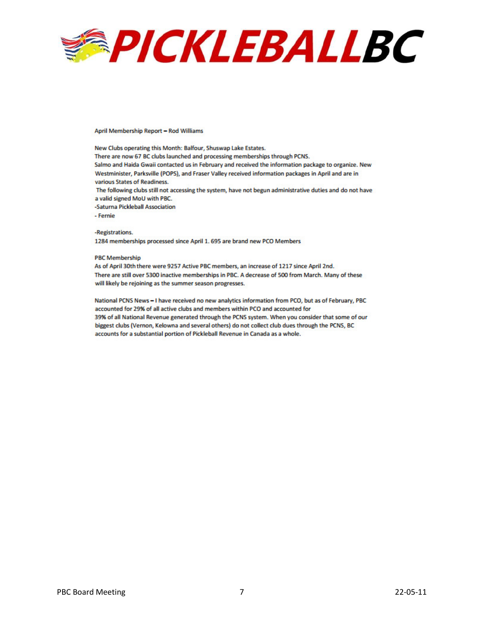

April Membership Report - Rod Williams

New Clubs operating this Month: Balfour, Shuswap Lake Estates. There are now 67 BC clubs launched and processing memberships through PCNS. Salmo and Haida Gwaii contacted us in February and received the information package to organize. New Westminister, Parksville (POPS), and Fraser Valley received information packages in April and are in various States of Readiness. The following clubs still not accessing the system, have not begun administrative duties and do not have

a valid signed MoU with PBC.

-Saturna Pickleball Association

- Fernie

-Registrations.

1284 memberships processed since April 1. 695 are brand new PCO Members

#### **PBC Membership**

As of April 30th there were 9257 Active PBC members, an increase of 1217 since April 2nd. There are still over 5300 inactive memberships in PBC. A decrease of 500 from March. Many of these will likely be rejoining as the summer season progresses.

National PCNS News - I have received no new analytics information from PCO, but as of February, PBC accounted for 29% of all active clubs and members within PCO and accounted for 39% of all National Revenue generated through the PCNS system. When you consider that some of our biggest clubs (Vernon, Kelowna and several others) do not collect club dues through the PCNS, BC accounts for a substantial portion of Pickleball Revenue in Canada as a whole.